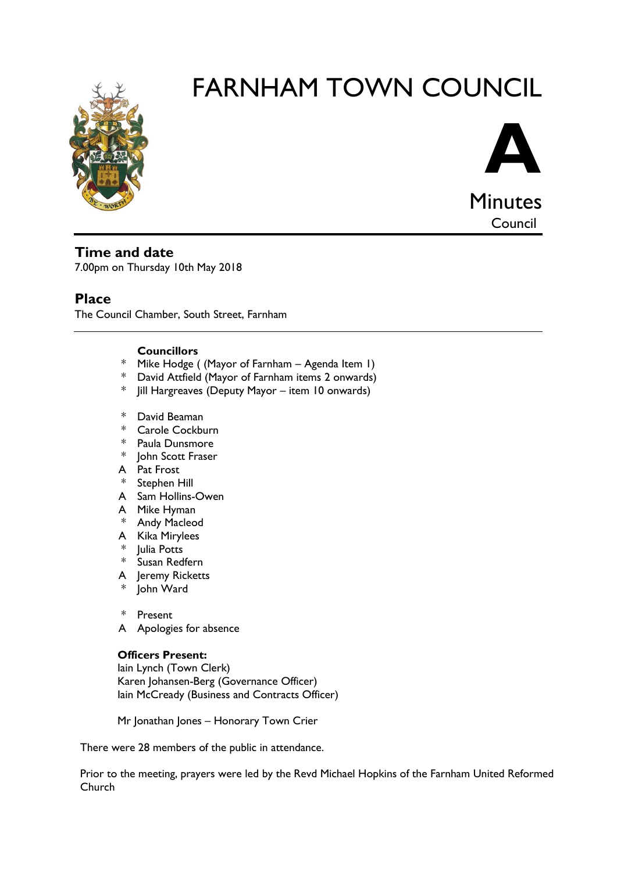

# FARNHAM TOWN COUNCIL



Council

# **Time and date**

7.00pm on Thursday 10th May 2018

# **Place**

The Council Chamber, South Street, Farnham

## **Councillors**

- \* Mike Hodge ( (Mayor of Farnham Agenda Item 1)
- \* David Attfield (Mayor of Farnham items 2 onwards)
- \* Jill Hargreaves (Deputy Mayor item 10 onwards)
- \* David Beaman
- \* Carole Cockburn
- \* Paula Dunsmore
- \* John Scott Fraser
- A Pat Frost
- \* Stephen Hill
- A Sam Hollins-Owen
- A Mike Hyman
- \* Andy Macleod
- A Kika Mirylees
- \* Julia Potts
- \* Susan Redfern
- A Jeremy Ricketts
- \* John Ward
- \* Present
- A Apologies for absence

# **Officers Present:**

Iain Lynch (Town Clerk) Karen Johansen-Berg (Governance Officer) Iain McCready (Business and Contracts Officer)

Mr Jonathan Jones - Honorary Town Crier

There were 28 members of the public in attendance.

Prior to the meeting, prayers were led by the Revd Michael Hopkins of the Farnham United Reformed Church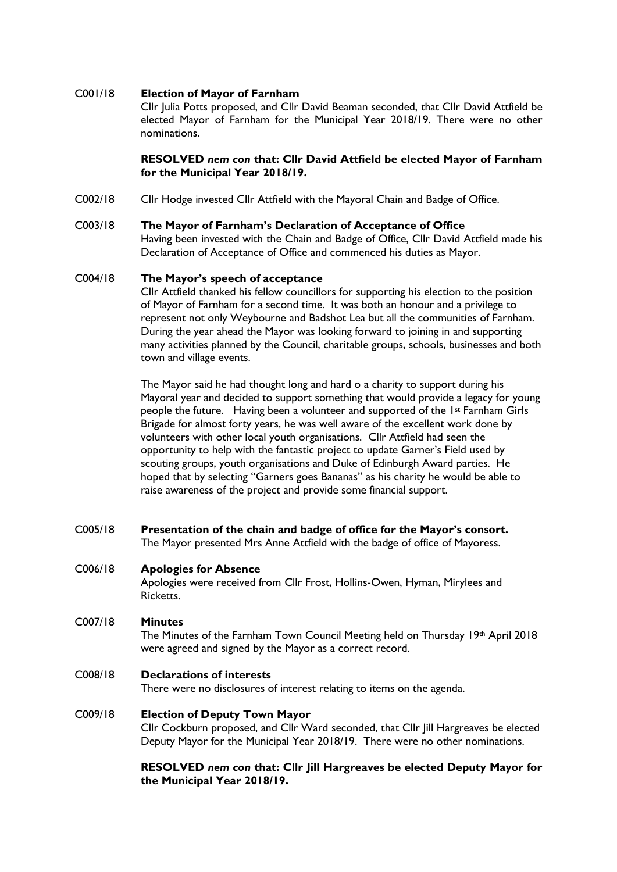#### C001/18 **Election of Mayor of Farnham**

Cllr Julia Potts proposed, and Cllr David Beaman seconded, that Cllr David Attfield be elected Mayor of Farnham for the Municipal Year 2018/19. There were no other nominations.

#### **RESOLVED** *nem con* **that: Cllr David Attfield be elected Mayor of Farnham for the Municipal Year 2018/19.**

C002/18 Cllr Hodge invested Cllr Attfield with the Mayoral Chain and Badge of Office.

#### C003/18 **The Mayor of Farnham's Declaration of Acceptance of Office**

Having been invested with the Chain and Badge of Office, Cllr David Attfield made his Declaration of Acceptance of Office and commenced his duties as Mayor.

#### C004/18 **The Mayor's speech of acceptance**

Cllr Attfield thanked his fellow councillors for supporting his election to the position of Mayor of Farnham for a second time. It was both an honour and a privilege to represent not only Weybourne and Badshot Lea but all the communities of Farnham. During the year ahead the Mayor was looking forward to joining in and supporting many activities planned by the Council, charitable groups, schools, businesses and both town and village events.

The Mayor said he had thought long and hard o a charity to support during his Mayoral year and decided to support something that would provide a legacy for young people the future. Having been a volunteer and supported of the 1st Farnham Girls Brigade for almost forty years, he was well aware of the excellent work done by volunteers with other local youth organisations. Cllr Attfield had seen the opportunity to help with the fantastic project to update Garner's Field used by scouting groups, youth organisations and Duke of Edinburgh Award parties. He hoped that by selecting "Garners goes Bananas" as his charity he would be able to raise awareness of the project and provide some financial support.

C005/18 **Presentation of the chain and badge of office for the Mayor's consort.** The Mayor presented Mrs Anne Attfield with the badge of office of Mayoress.

#### C006/18 **Apologies for Absence**

Apologies were received from Cllr Frost, Hollins-Owen, Hyman, Mirylees and Ricketts.

#### C007/18 **Minutes**

The Minutes of the Farnham Town Council Meeting held on Thursday 19th April 2018 were agreed and signed by the Mayor as a correct record.

#### C008/18 **Declarations of interests**

There were no disclosures of interest relating to items on the agenda.

#### C009/18 **Election of Deputy Town Mayor**

Cllr Cockburn proposed, and Cllr Ward seconded, that Cllr Jill Hargreaves be elected Deputy Mayor for the Municipal Year 2018/19. There were no other nominations.

#### **RESOLVED** *nem con* **that: Cllr Jill Hargreaves be elected Deputy Mayor for the Municipal Year 2018/19.**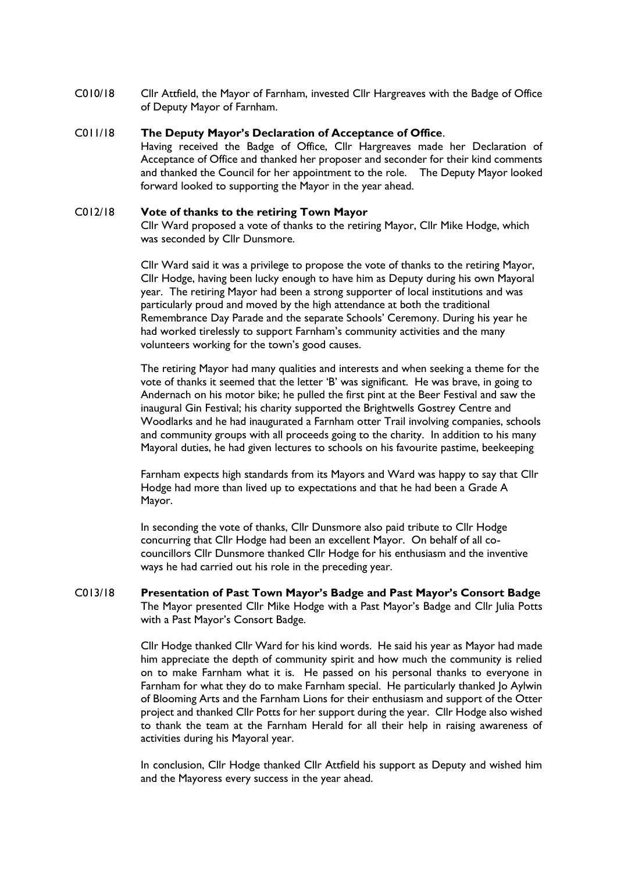C010/18 Cllr Attfield, the Mayor of Farnham, invested Cllr Hargreaves with the Badge of Office of Deputy Mayor of Farnham.

#### C011/18 **The Deputy Mayor's Declaration of Acceptance of Office**.

Having received the Badge of Office, Cllr Hargreaves made her Declaration of Acceptance of Office and thanked her proposer and seconder for their kind comments and thanked the Council for her appointment to the role. The Deputy Mayor looked forward looked to supporting the Mayor in the year ahead.

#### C012/18 **Vote of thanks to the retiring Town Mayor**

Cllr Ward proposed a vote of thanks to the retiring Mayor, Cllr Mike Hodge, which was seconded by Cllr Dunsmore.

Cllr Ward said it was a privilege to propose the vote of thanks to the retiring Mayor, Cllr Hodge, having been lucky enough to have him as Deputy during his own Mayoral year. The retiring Mayor had been a strong supporter of local institutions and was particularly proud and moved by the high attendance at both the traditional Remembrance Day Parade and the separate Schools' Ceremony. During his year he had worked tirelessly to support Farnham's community activities and the many volunteers working for the town's good causes.

The retiring Mayor had many qualities and interests and when seeking a theme for the vote of thanks it seemed that the letter 'B' was significant. He was brave, in going to Andernach on his motor bike; he pulled the first pint at the Beer Festival and saw the inaugural Gin Festival; his charity supported the Brightwells Gostrey Centre and Woodlarks and he had inaugurated a Farnham otter Trail involving companies, schools and community groups with all proceeds going to the charity. In addition to his many Mayoral duties, he had given lectures to schools on his favourite pastime, beekeeping

Farnham expects high standards from its Mayors and Ward was happy to say that Cllr Hodge had more than lived up to expectations and that he had been a Grade A Mayor.

In seconding the vote of thanks, Cllr Dunsmore also paid tribute to Cllr Hodge concurring that Cllr Hodge had been an excellent Mayor. On behalf of all cocouncillors Cllr Dunsmore thanked Cllr Hodge for his enthusiasm and the inventive ways he had carried out his role in the preceding year.

C013/18 **Presentation of Past Town Mayor's Badge and Past Mayor's Consort Badge** The Mayor presented Cllr Mike Hodge with a Past Mayor's Badge and Cllr Julia Potts with a Past Mayor's Consort Badge.

> Cllr Hodge thanked Cllr Ward for his kind words. He said his year as Mayor had made him appreciate the depth of community spirit and how much the community is relied on to make Farnham what it is. He passed on his personal thanks to everyone in Farnham for what they do to make Farnham special. He particularly thanked Jo Aylwin of Blooming Arts and the Farnham Lions for their enthusiasm and support of the Otter project and thanked Cllr Potts for her support during the year. Cllr Hodge also wished to thank the team at the Farnham Herald for all their help in raising awareness of activities during his Mayoral year.

> In conclusion, Cllr Hodge thanked Cllr Attfield his support as Deputy and wished him and the Mayoress every success in the year ahead.